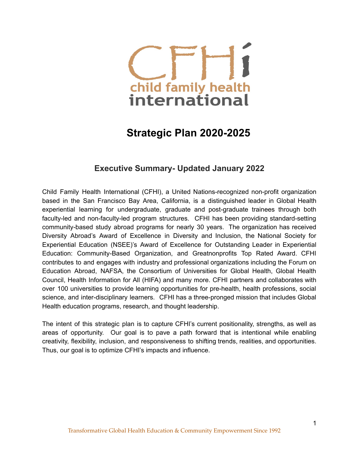

# **Strategic Plan 2020-2025**

# **Executive Summary- Updated January 2022**

Child Family Health International (CFHI), a United Nations-recognized non-profit organization based in the San Francisco Bay Area, California, is a distinguished leader in Global Health experiential learning for undergraduate, graduate and post-graduate trainees through both faculty-led and non-faculty-led program structures. CFHI has been providing standard-setting community-based study abroad programs for nearly 30 years. The organization has received Diversity Abroad's Award of Excellence in Diversity and Inclusion, the National Society for Experiential Education (NSEE)'s Award of Excellence for Outstanding Leader in Experiential Education: Community-Based Organization, and Greatnonprofits Top Rated Award. CFHI contributes to and engages with industry and professional organizations including the Forum on Education Abroad, NAFSA, the Consortium of Universities for Global Health, Global Health Council, Health Information for All (HIFA) and many more. CFHI partners and collaborates with over 100 universities to provide learning opportunities for pre-health, health professions, social science, and inter-disciplinary learners. CFHI has a three-pronged mission that includes Global Health education programs, research, and thought leadership.

The intent of this strategic plan is to capture CFHI's current positionality, strengths, as well as areas of opportunity. Our goal is to pave a path forward that is intentional while enabling creativity, flexibility, inclusion, and responsiveness to shifting trends, realities, and opportunities. Thus, our goal is to optimize CFHI's impacts and influence.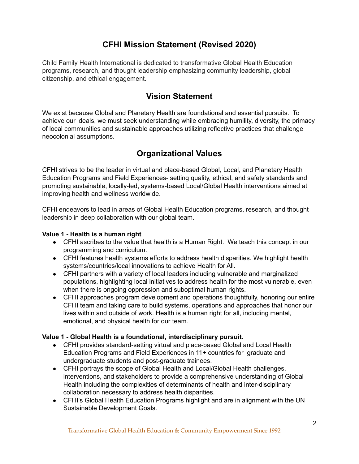# **CFHI Mission Statement (Revised 2020)**

Child Family Health International is dedicated to transformative Global Health Education programs, research, and thought leadership emphasizing community leadership, global citizenship, and ethical engagement.

# **Vision Statement**

We exist because Global and Planetary Health are foundational and essential pursuits. To achieve our ideals, we must seek understanding while embracing humility, diversity, the primacy of local communities and sustainable approaches utilizing reflective practices that challenge neocolonial assumptions.

# **Organizational Values**

CFHI strives to be the leader in virtual and place-based Global, Local, and Planetary Health Education Programs and Field Experiences- setting quality, ethical, and safety standards and promoting sustainable, locally-led, systems-based Local/Global Health interventions aimed at improving health and wellness worldwide.

CFHI endeavors to lead in areas of Global Health Education programs, research, and thought leadership in deep collaboration with our global team.

## **Value 1 - Health is a human right**

- CFHI ascribes to the value that health is a Human Right. We teach this concept in our programming and curriculum.
- CFHI features health systems efforts to address health disparities. We highlight health systems/countries/local innovations to achieve Health for All.
- CFHI partners with a variety of local leaders including vulnerable and marginalized populations, highlighting local initiatives to address health for the most vulnerable, even when there is ongoing oppression and suboptimal human rights.
- CFHI approaches program development and operations thoughtfully, honoring our entire CFHI team and taking care to build systems, operations and approaches that honor our lives within and outside of work. Health is a human right for all, including mental, emotional, and physical health for our team.

## **Value 1 - Global Health is a foundational, interdisciplinary pursuit.**

- CFHI provides standard-setting virtual and place-based Global and Local Health Education Programs and Field Experiences in 11+ countries for graduate and undergraduate students and post-graduate trainees.
- CFHI portrays the scope of Global Health and Local/Global Health challenges, interventions, and stakeholders to provide a comprehensive understanding of Global Health including the complexities of determinants of health and inter-disciplinary collaboration necessary to address health disparities.
- CFHI's Global Health Education Programs highlight and are in alignment with the UN Sustainable Development Goals.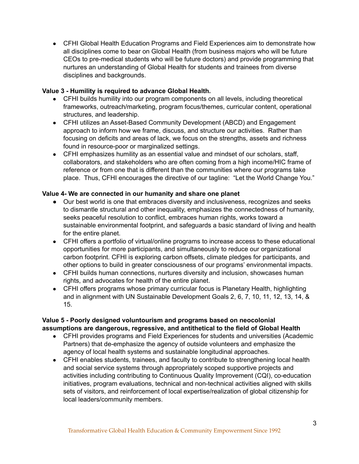● CFHI Global Health Education Programs and Field Experiences aim to demonstrate how all disciplines come to bear on Global Health (from business majors who will be future CEOs to pre-medical students who will be future doctors) and provide programming that nurtures an understanding of Global Health for students and trainees from diverse disciplines and backgrounds.

#### **Value 3 - Humility is required to advance Global Health.**

- CFHI builds humility into our program components on all levels, including theoretical frameworks, outreach/marketing, program focus/themes, curricular content, operational structures, and leadership.
- CFHI utilizes an Asset-Based Community Development (ABCD) and Engagement approach to inform how we frame, discuss, and structure our activities. Rather than focusing on deficits and areas of lack, we focus on the strengths, assets and richness found in resource-poor or marginalized settings.
- CFHI emphasizes humility as an essential value and mindset of our scholars, staff, collaborators, and stakeholders who are often coming from a high income/HIC frame of reference or from one that is different than the communities where our programs take place. Thus, CFHI encourages the directive of our tagline: "Let the World Change You."

#### **Value 4- We are connected in our humanity and share one planet**

- Our best world is one that embraces diversity and inclusiveness, recognizes and seeks to dismantle structural and other inequality, emphasizes the connectedness of humanity, seeks peaceful resolution to conflict, embraces human rights, works toward a sustainable environmental footprint, and safeguards a basic standard of living and health for the entire planet.
- CFHI offers a portfolio of virtual/online programs to increase access to these educational opportunities for more participants, and simultaneously to reduce our organizational carbon footprint. CFHI is exploring carbon offsets, climate pledges for participants, and other options to build in greater consciousness of our programs' environmental impacts.
- CFHI builds human connections, nurtures diversity and inclusion, showcases human rights, and advocates for health of the entire planet.
- CFHI offers programs whose primary curricular focus is Planetary Health, highlighting and in alignment with UN Sustainable Development Goals 2, 6, 7, 10, 11, 12, 13, 14, & 15.

#### **Value 5 - Poorly designed voluntourism and programs based on neocolonial assumptions are dangerous, regressive, and antithetical to the field of Global Health**

- CFHI provides programs and Field Experiences for students and universities (Academic Partners) that de-emphasize the agency of outside volunteers and emphasize the agency of local health systems and sustainable longitudinal approaches.
- CFHI enables students, trainees, and faculty to contribute to strengthening local health and social service systems through appropriately scoped supportive projects and activities including contributing to Continuous Quality Improvement (CQI), co-education initiatives, program evaluations, technical and non-technical activities aligned with skills sets of visitors, and reinforcement of local expertise/realization of global citizenship for local leaders/community members.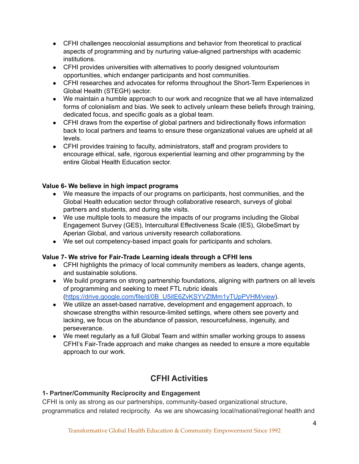- CFHI challenges neocolonial assumptions and behavior from theoretical to practical aspects of programming and by nurturing value-aligned partnerships with academic institutions.
- CFHI provides universities with alternatives to poorly designed voluntourism opportunities, which endanger participants and host communities.
- CFHI researches and advocates for reforms throughout the Short-Term Experiences in Global Health (STEGH) sector.
- We maintain a humble approach to our work and recognize that we all have internalized forms of colonialism and bias. We seek to actively unlearn these beliefs through training, dedicated focus, and specific goals as a global team.
- CFHI draws from the expertise of global partners and bidirectionally flows information back to local partners and teams to ensure these organizational values are upheld at all levels.
- CFHI provides training to faculty, administrators, staff and program providers to encourage ethical, safe, rigorous experiential learning and other programming by the entire Global Health Education sector.

## **Value 6- We believe in high impact programs**

- We measure the impacts of our programs on participants, host communities, and the Global Health education sector through collaborative research, surveys of global partners and students, and during site visits.
- We use multiple tools to measure the impacts of our programs including the Global Engagement Survey (GES), Intercultural Effectiveness Scale (IES), GlobeSmart by Aperian Global, and various university research collaborations.
- We set out competency-based impact goals for participants and scholars.

#### **Value 7- We strive for Fair-Trade Learning ideals through a CFHI lens**

- CFHI highlights the primacy of local community members as leaders, change agents, and sustainable solutions.
- We build programs on strong partnership foundations, aligning with partners on all levels of programming and seeking to meet FTL rubric ideals ([https://drive.google.com/file/d/0B\\_U5itE6ZvKSYVZtMm1yTUpPVHM/view](https://drive.google.com/file/d/0B_U5itE6ZvKSYVZtMm1yTUpPVHM/view)).
- We utilize an asset-based narrative, development and engagement approach, to showcase strengths within resource-limited settings, where others see poverty and lacking, we focus on the abundance of passion, resourcefulness, ingenuity, and perseverance.
- We meet regularly as a full Global Team and within smaller working groups to assess CFHI's Fair-Trade approach and make changes as needed to ensure a more equitable approach to our work.

# **CFHI Activities**

#### **1- Partner/Community Reciprocity and Engagement**

CFHI is only as strong as our partnerships, community-based organizational structure, programmatics and related reciprocity. As we are showcasing local/national/regional health and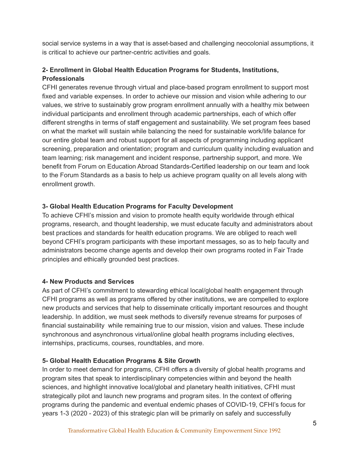social service systems in a way that is asset-based and challenging neocolonial assumptions, it is critical to achieve our partner-centric activities and goals.

# **2- Enrollment in Global Health Education Programs for Students, Institutions, Professionals**

CFHI generates revenue through virtual and place-based program enrollment to support most fixed and variable expenses. In order to achieve our mission and vision while adhering to our values, we strive to sustainably grow program enrollment annually with a healthy mix between individual participants and enrollment through academic partnerships, each of which offer different strengths in terms of staff engagement and sustainability. We set program fees based on what the market will sustain while balancing the need for sustainable work/life balance for our entire global team and robust support for all aspects of programming including applicant screening, preparation and orientation; program and curriculum quality including evaluation and team learning; risk management and incident response, partnership support, and more. We benefit from Forum on Education Abroad Standards-Certified leadership on our team and look to the Forum Standards as a basis to help us achieve program quality on all levels along with enrollment growth.

## **3- Global Health Education Programs for Faculty Development**

To achieve CFHI's mission and vision to promote health equity worldwide through ethical programs, research, and thought leadership, we must educate faculty and administrators about best practices and standards for health education programs. We are obliged to reach well beyond CFHI's program participants with these important messages, so as to help faculty and administrators become change agents and develop their own programs rooted in Fair Trade principles and ethically grounded best practices.

## **4- New Products and Services**

As part of CFHI's commitment to stewarding ethical local/global health engagement through CFHI programs as well as programs offered by other institutions, we are compelled to explore new products and services that help to disseminate critically important resources and thought leadership. In addition, we must seek methods to diversify revenue streams for purposes of financial sustainability while remaining true to our mission, vision and values. These include synchronous and asynchronous virtual/online global health programs including electives, internships, practicums, courses, roundtables, and more.

## **5- Global Health Education Programs & Site Growth**

In order to meet demand for programs, CFHI offers a diversity of global health programs and program sites that speak to interdisciplinary competencies within and beyond the health sciences, and highlight innovative local/global and planetary health initiatives, CFHI must strategically pilot and launch new programs and program sites. In the context of offering programs during the pandemic and eventual endemic phases of COVID-19, CFHI's focus for years 1-3 (2020 - 2023) of this strategic plan will be primarily on safely and successfully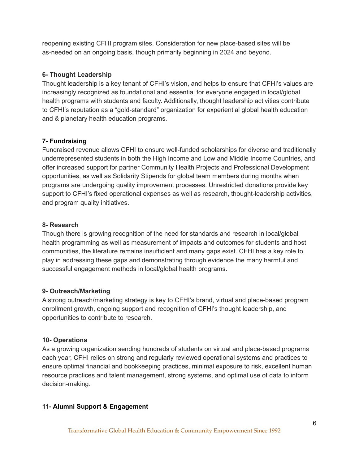reopening existing CFHI program sites. Consideration for new place-based sites will be as-needed on an ongoing basis, though primarily beginning in 2024 and beyond.

#### **6- Thought Leadership**

Thought leadership is a key tenant of CFHI's vision, and helps to ensure that CFHI's values are increasingly recognized as foundational and essential for everyone engaged in local/global health programs with students and faculty. Additionally, thought leadership activities contribute to CFHI's reputation as a "gold-standard" organization for experiential global health education and & planetary health education programs.

#### **7- Fundraising**

Fundraised revenue allows CFHI to ensure well-funded scholarships for diverse and traditionally underrepresented students in both the High Income and Low and Middle Income Countries, and offer increased support for partner Community Health Projects and Professional Development opportunities, as well as Solidarity Stipends for global team members during months when programs are undergoing quality improvement processes. Unrestricted donations provide key support to CFHI's fixed operational expenses as well as research, thought-leadership activities, and program quality initiatives.

#### **8- Research**

Though there is growing recognition of the need for standards and research in local/global health programming as well as measurement of impacts and outcomes for students and host communities, the literature remains insufficient and many gaps exist. CFHI has a key role to play in addressing these gaps and demonstrating through evidence the many harmful and successful engagement methods in local/global health programs.

#### **9- Outreach/Marketing**

A strong outreach/marketing strategy is key to CFHI's brand, virtual and place-based program enrollment growth, ongoing support and recognition of CFHI's thought leadership, and opportunities to contribute to research.

#### **10- Operations**

As a growing organization sending hundreds of students on virtual and place-based programs each year, CFHI relies on strong and regularly reviewed operational systems and practices to ensure optimal financial and bookkeeping practices, minimal exposure to risk, excellent human resource practices and talent management, strong systems, and optimal use of data to inform decision-making.

#### **11- Alumni Support & Engagement**